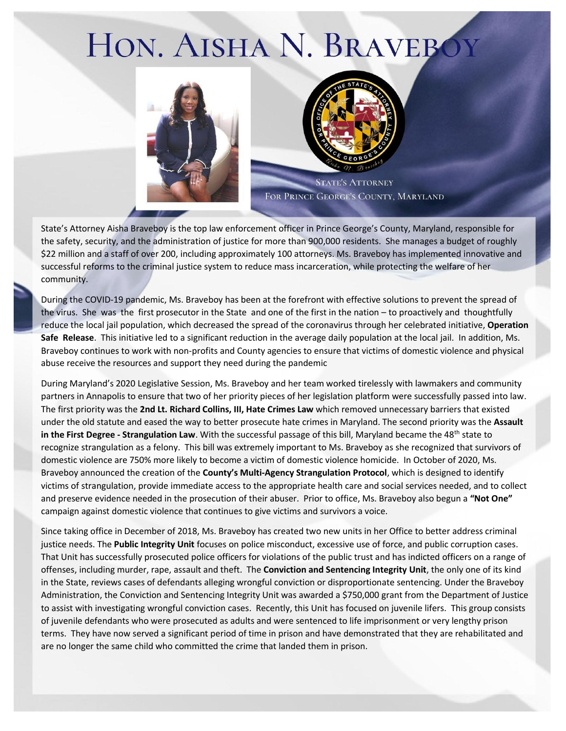## HON. AISHA N. BRAVEBOY





**STATE'S ATTORNEY** FOR PRINCE GEORGE'S COUNTY, MARYLAND

State's Attorney Aisha Braveboy is the top law enforcement officer in Prince George's County, Maryland, responsible for the safety, security, and the administration of justice for more than 900,000 residents. She manages a budget of roughly \$22 million and a staff of over 200, including approximately 100 attorneys. Ms. Braveboy has implemented innovative and successful reforms to the criminal justice system to reduce mass incarceration, while protecting the welfare of her community.

During the COVID-19 pandemic, Ms. Braveboy has been at the forefront with effective solutions to prevent the spread of the virus. She was the first prosecutor in the State and one of the first in the nation – to proactively and thoughtfully reduce the local jail population, which decreased the spread of the coronavirus through her celebrated initiative, **Operation Safe Release**. This initiative led to a significant reduction in the average daily population at the local jail. In addition, Ms. Braveboy continues to work with non-profits and County agencies to ensure that victims of domestic violence and physical abuse receive the resources and support they need during the pandemic

During Maryland's 2020 Legislative Session, Ms. Braveboy and her team worked tirelessly with lawmakers and community partners in Annapolis to ensure that two of her priority pieces of her legislation platform were successfully passed into law. The first priority was the **2nd Lt. Richard Collins, III, Hate Crimes Law** which removed unnecessary barriers that existed under the old statute and eased the way to better prosecute hate crimes in Maryland. The second priority was the **Assault in the First Degree - Strangulation Law**. With the successful passage of this bill, Maryland became the 48<sup>th</sup> state to recognize strangulation as a felony. This bill was extremely important to Ms. Braveboy as she recognized that survivors of domestic violence are 750% more likely to become a victim of domestic violence homicide. In October of 2020, Ms. Braveboy announced the creation of the **County's Multi-Agency Strangulation Protocol**, which is designed to identify victims of strangulation, provide immediate access to the appropriate health care and social services needed, and to collect and preserve evidence needed in the prosecution of their abuser. Prior to office, Ms. Braveboy also begun a **"Not One"**  campaign against domestic violence that continues to give victims and survivors a voice.

Since taking office in December of 2018, Ms. Braveboy has created two new units in her Office to better address criminal justice needs. The **Public Integrity Unit** focuses on police misconduct, excessive use of force, and public corruption cases. That Unit has successfully prosecuted police officers for violations of the public trust and has indicted officers on a range of offenses, including murder, rape, assault and theft. The **Conviction and Sentencing Integrity Unit**, the only one of its kind in the State, reviews cases of defendants alleging wrongful conviction or disproportionate sentencing. Under the Braveboy Administration, the Conviction and Sentencing Integrity Unit was awarded a \$750,000 grant from the Department of Justice to assist with investigating wrongful conviction cases. Recently, this Unit has focused on juvenile lifers. This group consists of juvenile defendants who were prosecuted as adults and were sentenced to life imprisonment or very lengthy prison terms. They have now served a significant period of time in prison and have demonstrated that they are rehabilitated and are no longer the same child who committed the crime that landed them in prison.